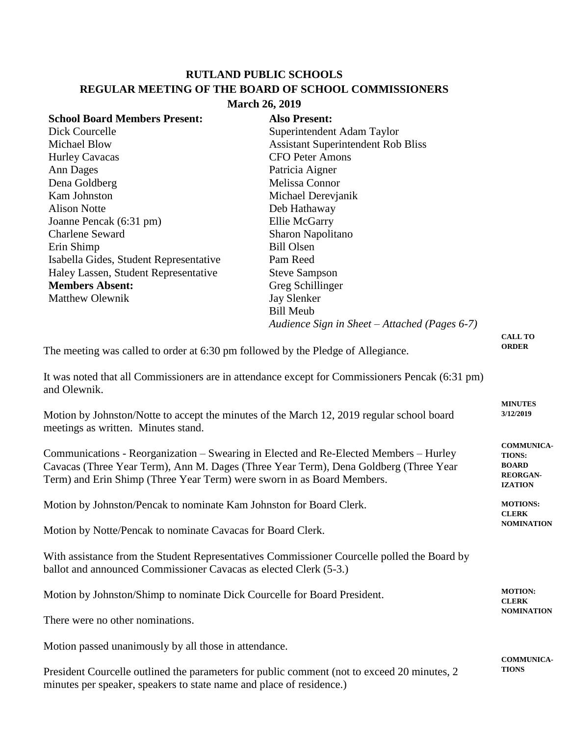## **RUTLAND PUBLIC SCHOOLS REGULAR MEETING OF THE BOARD OF SCHOOL COMMISSIONERS March 26, 2019**

| 01 CH 20, 2017                                                                            |                                                                                                 |                                   |  |  |
|-------------------------------------------------------------------------------------------|-------------------------------------------------------------------------------------------------|-----------------------------------|--|--|
| <b>School Board Members Present:</b>                                                      | <b>Also Present:</b>                                                                            |                                   |  |  |
| Dick Courcelle                                                                            | Superintendent Adam Taylor                                                                      |                                   |  |  |
| <b>Michael Blow</b>                                                                       | <b>Assistant Superintendent Rob Bliss</b>                                                       |                                   |  |  |
| <b>Hurley Cavacas</b>                                                                     | <b>CFO Peter Amons</b>                                                                          |                                   |  |  |
| <b>Ann Dages</b>                                                                          | Patricia Aigner                                                                                 |                                   |  |  |
| Dena Goldberg                                                                             | <b>Melissa Connor</b>                                                                           |                                   |  |  |
| Kam Johnston                                                                              | Michael Derevjanik                                                                              |                                   |  |  |
| <b>Alison Notte</b>                                                                       | Deb Hathaway                                                                                    |                                   |  |  |
| Joanne Pencak (6:31 pm)                                                                   | Ellie McGarry                                                                                   |                                   |  |  |
| <b>Charlene Seward</b>                                                                    | Sharon Napolitano                                                                               |                                   |  |  |
| Erin Shimp                                                                                | <b>Bill Olsen</b>                                                                               |                                   |  |  |
| Isabella Gides, Student Representative                                                    | Pam Reed                                                                                        |                                   |  |  |
| Haley Lassen, Student Representative                                                      | <b>Steve Sampson</b>                                                                            |                                   |  |  |
| <b>Members Absent:</b>                                                                    | Greg Schillinger                                                                                |                                   |  |  |
| <b>Matthew Olewnik</b>                                                                    | <b>Jay Slenker</b>                                                                              |                                   |  |  |
|                                                                                           | <b>Bill Meub</b>                                                                                |                                   |  |  |
|                                                                                           | Audience Sign in Sheet - Attached (Pages 6-7)                                                   |                                   |  |  |
|                                                                                           |                                                                                                 | <b>CALL TO</b>                    |  |  |
| The meeting was called to order at 6:30 pm followed by the Pledge of Allegiance.          |                                                                                                 | <b>ORDER</b>                      |  |  |
|                                                                                           |                                                                                                 |                                   |  |  |
| and Olewnik.                                                                              | It was noted that all Commissioners are in attendance except for Commissioners Pencak (6:31 pm) |                                   |  |  |
|                                                                                           |                                                                                                 | <b>MINUTES</b>                    |  |  |
| Motion by Johnston/Notte to accept the minutes of the March 12, 2019 regular school board |                                                                                                 | 3/12/2019                         |  |  |
| meetings as written. Minutes stand.                                                       |                                                                                                 |                                   |  |  |
|                                                                                           |                                                                                                 | <b>COMMUNICA-</b>                 |  |  |
| Communications - Reorganization – Swearing in Elected and Re-Elected Members – Hurley     |                                                                                                 | <b>TIONS:</b>                     |  |  |
| Cavacas (Three Year Term), Ann M. Dages (Three Year Term), Dena Goldberg (Three Year      |                                                                                                 |                                   |  |  |
| Term) and Erin Shimp (Three Year Term) were sworn in as Board Members.                    |                                                                                                 | <b>REORGAN-</b><br><b>IZATION</b> |  |  |
|                                                                                           |                                                                                                 |                                   |  |  |
| Motion by Johnston/Pencak to nominate Kam Johnston for Board Clerk.<br><b>MOTIONS:</b>    |                                                                                                 |                                   |  |  |
|                                                                                           |                                                                                                 | <b>CLERK</b><br><b>NOMINATION</b> |  |  |
| Motion by Notte/Pencak to nominate Cavacas for Board Clerk.                               |                                                                                                 |                                   |  |  |

With assistance from the Student Representatives Commissioner Courcelle polled the Board by ballot and announced Commissioner Cavacas as elected Clerk (5-3.)

Motion by Johnston/Shimp to nominate Dick Courcelle for Board President. There were no other nominations. **MOTION: CLERK NOMINATION**

Motion passed unanimously by all those in attendance.

President Courcelle outlined the parameters for public comment (not to exceed 20 minutes, 2 minutes per speaker, speakers to state name and place of residence.)

**COMMUNICA-TIONS**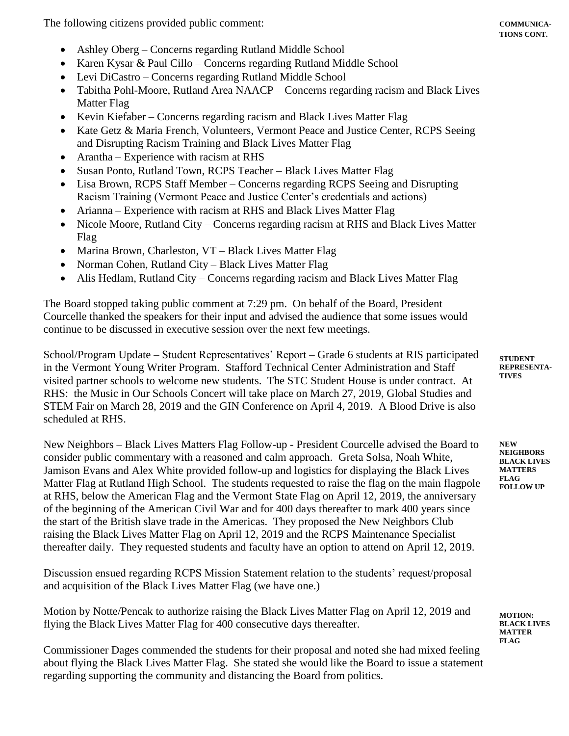The following citizens provided public comment:

- Ashley Oberg Concerns regarding Rutland Middle School
- Karen Kysar & Paul Cillo Concerns regarding Rutland Middle School
- Levi DiCastro Concerns regarding Rutland Middle School
- Tabitha Pohl-Moore, Rutland Area NAACP Concerns regarding racism and Black Lives Matter Flag
- Kevin Kiefaber Concerns regarding racism and Black Lives Matter Flag
- Kate Getz & Maria French, Volunteers, Vermont Peace and Justice Center, RCPS Seeing and Disrupting Racism Training and Black Lives Matter Flag
- Arantha Experience with racism at RHS
- Susan Ponto, Rutland Town, RCPS Teacher Black Lives Matter Flag
- Lisa Brown, RCPS Staff Member Concerns regarding RCPS Seeing and Disrupting Racism Training (Vermont Peace and Justice Center's credentials and actions)
- Arianna Experience with racism at RHS and Black Lives Matter Flag
- Nicole Moore, Rutland City Concerns regarding racism at RHS and Black Lives Matter Flag
- Marina Brown, Charleston, VT Black Lives Matter Flag
- Norman Cohen, Rutland City Black Lives Matter Flag
- Alis Hedlam, Rutland City Concerns regarding racism and Black Lives Matter Flag

The Board stopped taking public comment at 7:29 pm. On behalf of the Board, President Courcelle thanked the speakers for their input and advised the audience that some issues would continue to be discussed in executive session over the next few meetings.

School/Program Update – Student Representatives' Report – Grade 6 students at RIS participated in the Vermont Young Writer Program. Stafford Technical Center Administration and Staff visited partner schools to welcome new students. The STC Student House is under contract. At RHS: the Music in Our Schools Concert will take place on March 27, 2019, Global Studies and STEM Fair on March 28, 2019 and the GIN Conference on April 4, 2019. A Blood Drive is also scheduled at RHS.

New Neighbors – Black Lives Matters Flag Follow-up - President Courcelle advised the Board to consider public commentary with a reasoned and calm approach. Greta Solsa, Noah White, Jamison Evans and Alex White provided follow-up and logistics for displaying the Black Lives Matter Flag at Rutland High School. The students requested to raise the flag on the main flagpole at RHS, below the American Flag and the Vermont State Flag on April 12, 2019, the anniversary of the beginning of the American Civil War and for 400 days thereafter to mark 400 years since the start of the British slave trade in the Americas. They proposed the New Neighbors Club raising the Black Lives Matter Flag on April 12, 2019 and the RCPS Maintenance Specialist thereafter daily. They requested students and faculty have an option to attend on April 12, 2019.

Discussion ensued regarding RCPS Mission Statement relation to the students' request/proposal and acquisition of the Black Lives Matter Flag (we have one.)

Motion by Notte/Pencak to authorize raising the Black Lives Matter Flag on April 12, 2019 and flying the Black Lives Matter Flag for 400 consecutive days thereafter.

Commissioner Dages commended the students for their proposal and noted she had mixed feeling about flying the Black Lives Matter Flag. She stated she would like the Board to issue a statement regarding supporting the community and distancing the Board from politics.

**STUDENT REPRESENTA-TIVES**

**NEW NEIGHBORS BLACK LIVES MATTERS FLAG FOLLOW UP**

**MOTION: BLACK LIVES MATTER FLAG**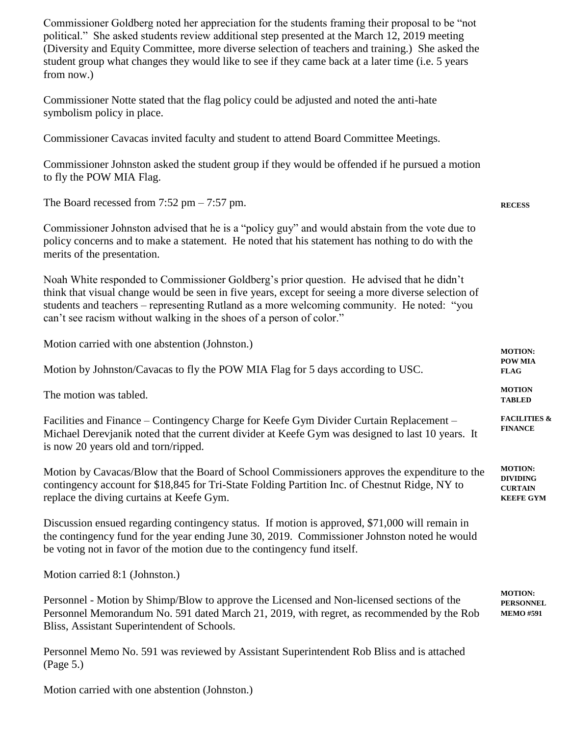Commissioner Goldberg noted her appreciation for the students framing their proposal to be "not political." She asked students review additional step presented at the March 12, 2019 meeting (Diversity and Equity Committee, more diverse selection of teachers and training.) She asked the student group what changes they would like to see if they came back at a later time (i.e. 5 years from now.)

Commissioner Notte stated that the flag policy could be adjusted and noted the anti-hate symbolism policy in place.

Commissioner Cavacas invited faculty and student to attend Board Committee Meetings.

Commissioner Johnston asked the student group if they would be offended if he pursued a motion to fly the POW MIA Flag.

**RECESS**

The Board recessed from  $7:52 \text{ pm} - 7:57 \text{ pm}$ .

Commissioner Johnston advised that he is a "policy guy" and would abstain from the vote due to policy concerns and to make a statement. He noted that his statement has nothing to do with the merits of the presentation.

Noah White responded to Commissioner Goldberg's prior question. He advised that he didn't think that visual change would be seen in five years, except for seeing a more diverse selection of students and teachers – representing Rutland as a more welcoming community. He noted: "you can't see racism without walking in the shoes of a person of color."

Motion carried with one abstention (Johnston.) Motion by Johnston/Cavacas to fly the POW MIA Flag for 5 days according to USC. The motion was tabled. Facilities and Finance – Contingency Charge for Keefe Gym Divider Curtain Replacement – Michael Derevjanik noted that the current divider at Keefe Gym was designed to last 10 years. It is now 20 years old and torn/ripped. Motion by Cavacas/Blow that the Board of School Commissioners approves the expenditure to the contingency account for \$18,845 for Tri-State Folding Partition Inc. of Chestnut Ridge, NY to replace the diving curtains at Keefe Gym. Discussion ensued regarding contingency status. If motion is approved, \$71,000 will remain in **MOTION: POW MIA FLAG MOTION TABLED FACILITIES & FINANCE MOTION: DIVIDING CURTAIN KEEFE GYM**

the contingency fund for the year ending June 30, 2019. Commissioner Johnston noted he would be voting not in favor of the motion due to the contingency fund itself.

Motion carried 8:1 (Johnston.)

Personnel - Motion by Shimp/Blow to approve the Licensed and Non-licensed sections of the Personnel Memorandum No. 591 dated March 21, 2019, with regret, as recommended by the Rob Bliss, Assistant Superintendent of Schools. **MOTION: PERSONNEL MEMO #591**

Personnel Memo No. 591 was reviewed by Assistant Superintendent Rob Bliss and is attached (Page 5.)

Motion carried with one abstention (Johnston.)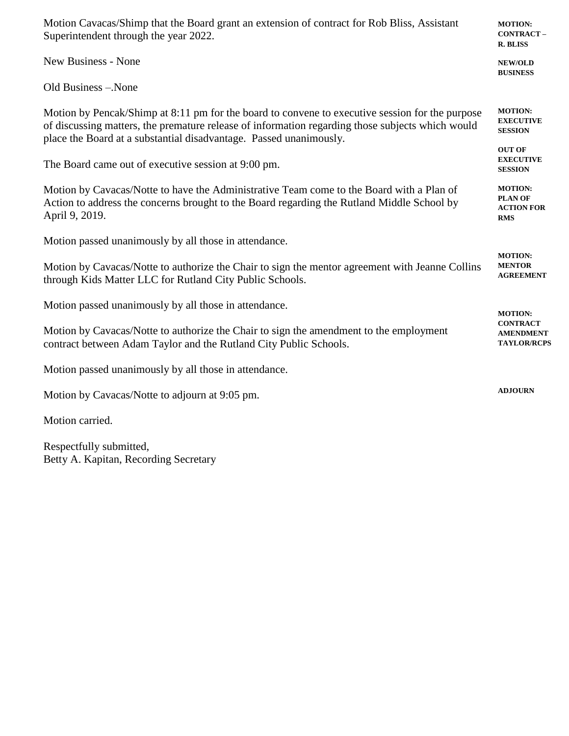| Motion Cavacas/Shimp that the Board grant an extension of contract for Rob Bliss, Assistant<br>Superintendent through the year 2022.                                                                                                                                      | <b>MOTION:</b><br><b>CONTRACT-</b><br><b>R. BLISS</b>               |  |
|---------------------------------------------------------------------------------------------------------------------------------------------------------------------------------------------------------------------------------------------------------------------------|---------------------------------------------------------------------|--|
| <b>New Business - None</b>                                                                                                                                                                                                                                                | <b>NEW/OLD</b><br><b>BUSINESS</b>                                   |  |
| Old Business - None                                                                                                                                                                                                                                                       |                                                                     |  |
| Motion by Pencak/Shimp at 8:11 pm for the board to convene to executive session for the purpose<br>of discussing matters, the premature release of information regarding those subjects which would<br>place the Board at a substantial disadvantage. Passed unanimously. |                                                                     |  |
| The Board came out of executive session at 9:00 pm.                                                                                                                                                                                                                       |                                                                     |  |
| Motion by Cavacas/Notte to have the Administrative Team come to the Board with a Plan of<br>Action to address the concerns brought to the Board regarding the Rutland Middle School by<br>April 9, 2019.                                                                  | <b>MOTION:</b><br><b>PLAN OF</b><br><b>ACTION FOR</b><br><b>RMS</b> |  |
| Motion passed unanimously by all those in attendance.                                                                                                                                                                                                                     | <b>MOTION:</b>                                                      |  |
| Motion by Cavacas/Notte to authorize the Chair to sign the mentor agreement with Jeanne Collins<br>through Kids Matter LLC for Rutland City Public Schools.                                                                                                               |                                                                     |  |
| Motion passed unanimously by all those in attendance.                                                                                                                                                                                                                     | <b>MOTION:</b>                                                      |  |
| Motion by Cavacas/Notte to authorize the Chair to sign the amendment to the employment<br>contract between Adam Taylor and the Rutland City Public Schools.                                                                                                               |                                                                     |  |
| Motion passed unanimously by all those in attendance.                                                                                                                                                                                                                     |                                                                     |  |
| Motion by Cavacas/Notte to adjourn at 9:05 pm.                                                                                                                                                                                                                            | <b>ADJOURN</b>                                                      |  |
| Motion carried.                                                                                                                                                                                                                                                           |                                                                     |  |

Respectfully submitted, Betty A. Kapitan, Recording Secretary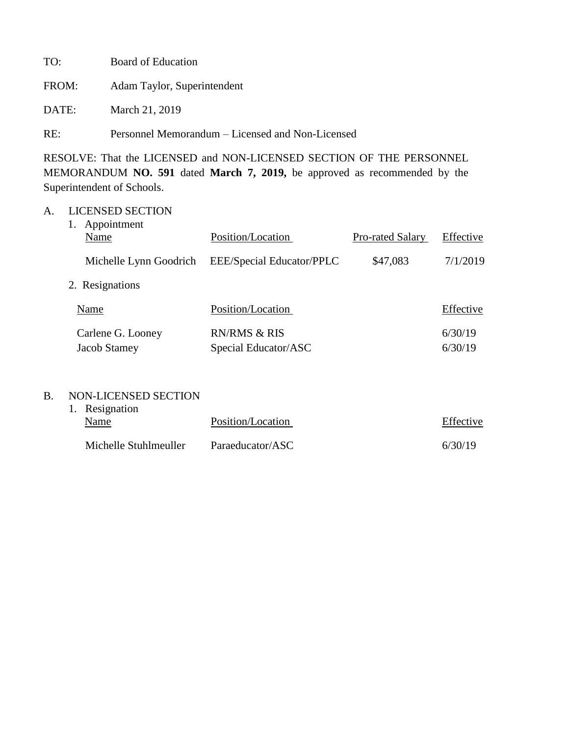| TO:   | Board of Education                               |
|-------|--------------------------------------------------|
| FROM: | Adam Taylor, Superintendent                      |
| DATE: | March 21, 2019                                   |
| RE:   | Personnel Memorandum – Licensed and Non-Licensed |

RESOLVE: That the LICENSED and NON-LICENSED SECTION OF THE PERSONNEL MEMORANDUM **NO. 591** dated **March 7, 2019,** be approved as recommended by the Superintendent of Schools.

## A. LICENSED SECTION

| Appointment<br>Name               | Position/Location                               | <b>Pro-rated Salary</b> | Effective          |
|-----------------------------------|-------------------------------------------------|-------------------------|--------------------|
| Michelle Lynn Goodrich            | EEE/Special Educator/PPLC                       | \$47,083                | 7/1/2019           |
| 2. Resignations                   |                                                 |                         |                    |
| Name                              | Position/Location                               |                         | Effective          |
| Carlene G. Looney<br>Jacob Stamey | <b>RN/RMS &amp; RIS</b><br>Special Educator/ASC |                         | 6/30/19<br>6/30/19 |

## B. NON-LICENSED SECTION

| 1. Resignation        |                   |           |
|-----------------------|-------------------|-----------|
| Name                  | Position/Location | Effective |
| Michelle Stuhlmeuller | Paraeducator/ASC  | 6/30/19   |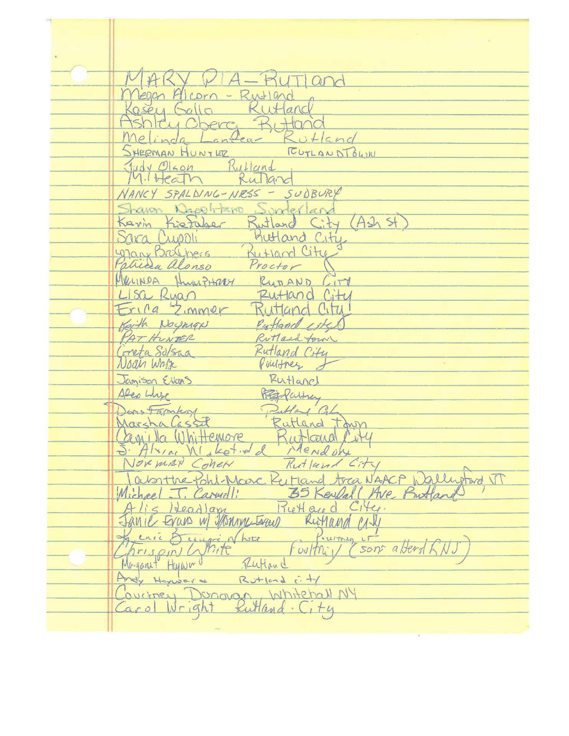$A - HUT |$  and Leach Alcorn - Rutland Rutland  $0.5811$  Fullo c. Bittonid Rutland Melinda FUTLAND TOWN SHERMAN HUNTER Judy Olson Rutland  $M.Hearn$ Rulland NANCY SPALDING-NRSS - SUDBURY Sharon Napolitano Sunterland Kevin Rutland City (Ash St Kietaher Sara Cuppli Kutland City Mary Britiners Rutland City Proctor atrida alonso MerINDA Humphary RUTAND CITY Lisa Ruan Rutland City Frica Zimmer Rutland City! Rutland istel Keith Noyman PAT HUNTER Rutland form Coneta Solsaa Rutland City Noan Wage Puisstnes 1 Rutlanch Jamison Evans Alex Where Preto Partner Don's Farenhort  $1^\prime$  CL Rutland town Marshalassel Rutland Cit Canilla Whittemore Mendon J. Alvine Micheld NOVEMBY COMEN Rutland City Jabonthe Pohl-Marc Reitland trea NAACP Wallugtord VT Michael J. Carwall: 35 Kendal (Ave, Prutland Rietland City.  $-li<1$ leadlam Fanie Evans w/ Monroe Lager Ruthand MIN Prumeg LT<br>Coultri / (50 & ence Deaugre Nhore son abend RN. hrison White Mayorut Harward Rutiand Andy Harwer &  $RJ+1$  is  $\frac{1}{2}$ Coviency Donovan Whitehall NY